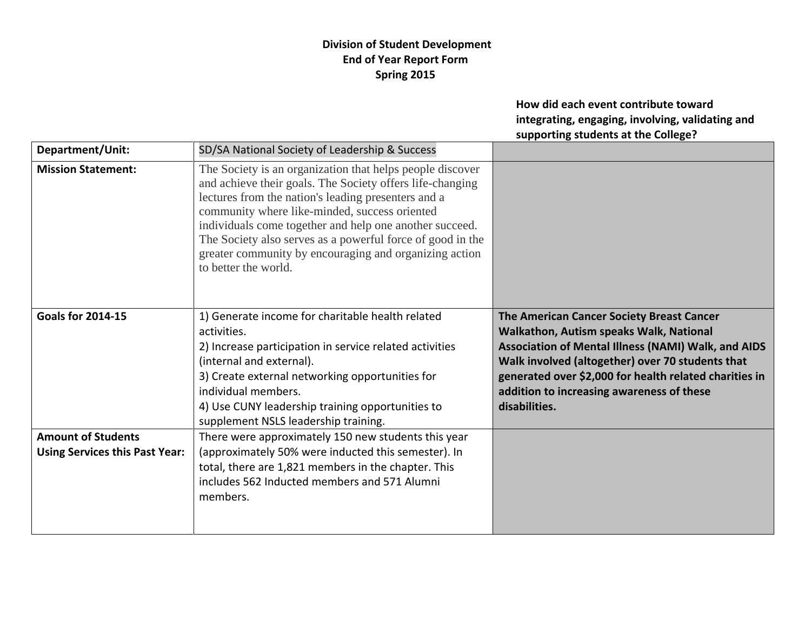## **Division of Student Development End of Year Report Form Spring 2015**

**How did each event contribute toward integrating, engaging, involving, validating and supporting students at the College?**

| Department/Unit:                                                   | SD/SA National Society of Leadership & Success                                                                                                                                                                                                                                                                                                                                                                                            |                                                                                                                                                                                                                                                                                                                                       |
|--------------------------------------------------------------------|-------------------------------------------------------------------------------------------------------------------------------------------------------------------------------------------------------------------------------------------------------------------------------------------------------------------------------------------------------------------------------------------------------------------------------------------|---------------------------------------------------------------------------------------------------------------------------------------------------------------------------------------------------------------------------------------------------------------------------------------------------------------------------------------|
| <b>Mission Statement:</b>                                          | The Society is an organization that helps people discover<br>and achieve their goals. The Society offers life-changing<br>lectures from the nation's leading presenters and a<br>community where like-minded, success oriented<br>individuals come together and help one another succeed.<br>The Society also serves as a powerful force of good in the<br>greater community by encouraging and organizing action<br>to better the world. |                                                                                                                                                                                                                                                                                                                                       |
| <b>Goals for 2014-15</b>                                           | 1) Generate income for charitable health related<br>activities.<br>2) Increase participation in service related activities<br>(internal and external).<br>3) Create external networking opportunities for<br>individual members.<br>4) Use CUNY leadership training opportunities to<br>supplement NSLS leadership training.                                                                                                              | The American Cancer Society Breast Cancer<br><b>Walkathon, Autism speaks Walk, National</b><br><b>Association of Mental Illness (NAMI) Walk, and AIDS</b><br>Walk involved (altogether) over 70 students that<br>generated over \$2,000 for health related charities in<br>addition to increasing awareness of these<br>disabilities. |
| <b>Amount of Students</b><br><b>Using Services this Past Year:</b> | There were approximately 150 new students this year<br>(approximately 50% were inducted this semester). In<br>total, there are 1,821 members in the chapter. This<br>includes 562 Inducted members and 571 Alumni<br>members.                                                                                                                                                                                                             |                                                                                                                                                                                                                                                                                                                                       |